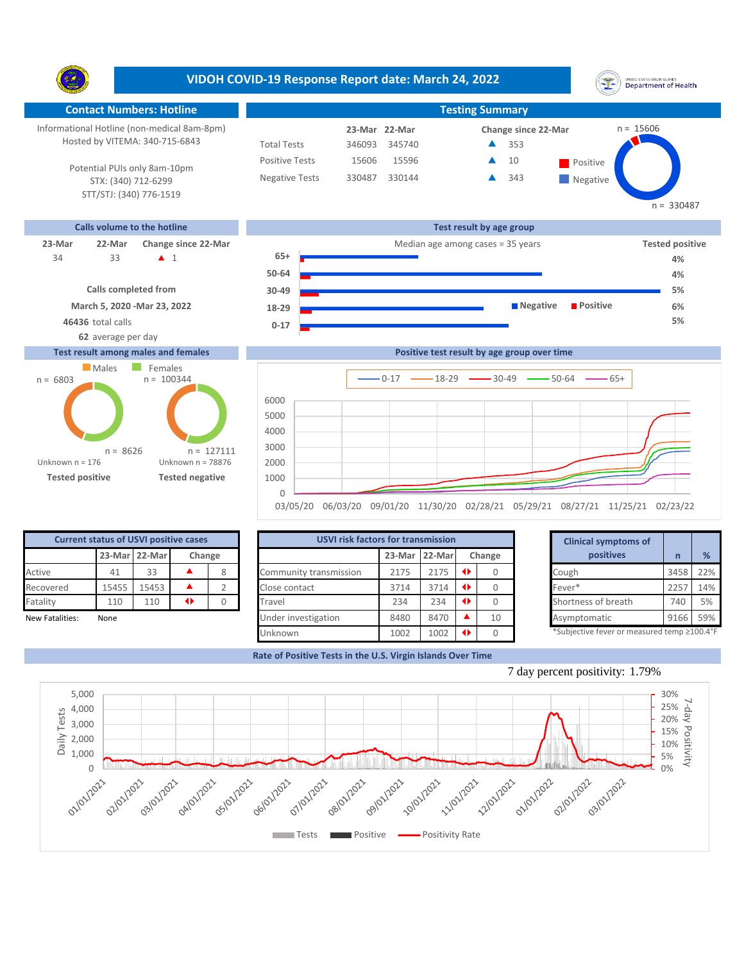**VIDOH COVID-19 Response Report date: March 24, 2022** UNITED STATES VIRGIN SLANDS<br>Department of Health Y. **Contact Numbers: Hotline Testing Summary** Informational Hotline (non-medical 8am-8pm) n = 15606 **23-Mar Change since 22-Mar 22-Mar** Hosted by VITEMA: 340-715-6843 Total Tests 346093 345740 353 ▲ Positive Tests 15596  $\triangle$  10 Positive 15606  $\blacktriangle$ 10 Potential PUIs only 8am-10pm Negative Tests 330487 330144 343 ▲ **Negative** STX: (340) 712-6299 STT/STJ: (340) 776-1519  $n = 330487$ **Calls volume to the hotline Test result by age group 23-Mar 22-Mar Change since 22-Mar Change since 22-Mar Change and Change among cases = 35 years <b>Tested positive Tested positive 65+** 33 **A** 1 34 **4% 50-64 4%**

## **Calls completed from March 5, 2020 -Mar 23, 2022**

**62** average per day

## **Test result among males and females**





0 03/05/20 06/03/20 09/01/20 11/30/20 02/28/21 05/29/21 08/27/21 11/25/21 02/23/22

| <b>Current status of USVI positive cases</b> |              |               |        |  |  |  |  |  |  |  |  |
|----------------------------------------------|--------------|---------------|--------|--|--|--|--|--|--|--|--|
|                                              |              | 23-Mar 22-Mar | Change |  |  |  |  |  |  |  |  |
| Active                                       | 41           | 33            |        |  |  |  |  |  |  |  |  |
| Recovered                                    | 15455        | 15453         |        |  |  |  |  |  |  |  |  |
| Fatality                                     | 110          | 110           |        |  |  |  |  |  |  |  |  |
| Marce Fatalitical                            | <b>Alexa</b> |               |        |  |  |  |  |  |  |  |  |

|                 | <b>Current status of USVI positive cases</b> |               |                 |        | USVI risk factors for transmission |      |               |        |    | <b>Clinical symptoms of</b>                |      |               |  |
|-----------------|----------------------------------------------|---------------|-----------------|--------|------------------------------------|------|---------------|--------|----|--------------------------------------------|------|---------------|--|
|                 |                                              | 23-Mar 22-Mar |                 | Change |                                    |      | 23-Mar 22-Mar | Change |    | positives                                  |      | $\frac{9}{6}$ |  |
| Active          | 41                                           | 33            |                 |        | Community transmission             | 2175 | 2175          |        |    | Cough                                      | 3458 | 22%           |  |
| Recovered       | 15455                                        | 15453         |                 |        | Close contact                      | 3714 | 3714          |        |    | Fever*                                     | 225  | 14%           |  |
| Fatality        | 110                                          | 110           | $\blacklozenge$ |        | Travel                             | 234  | 234           |        |    | Shortness of breath                        | 740  | 5%            |  |
| New Fatalities: | None                                         |               |                 |        | Under investigation                | 8480 | 8470          |        | 10 | Asymptomatic                               | 9166 | 59%           |  |
|                 |                                              |               |                 |        | Unknown                            | 1002 | 1002          |        |    | *Subjective fever or measured temp ≥100.4° |      |               |  |

|        | for transmission |   |        | <b>Clinical symptoms of</b>                 |      |     |
|--------|------------------|---|--------|---------------------------------------------|------|-----|
| 23-Mar | 22-Mar           |   | Change | positives                                   | n    | %   |
| 2175   | 2175             | ◆ | 0      | Cough                                       | 3458 | 22% |
| 3714   | 3714             | ◆ | 0      | Fever*                                      | 2257 | 14% |
| 234    | 234              | ◆ | Ω      | Shortness of breath                         | 740  | 5%  |
| 8480   | 8470             |   | 10     | Asymptomatic                                | 9166 | 59% |
| 1002   | 1002             | O |        | *Subjective fever or measured temp ≥100.4°F |      |     |

**5%**

**Rate of Positive Tests in the U.S. Virgin Islands Over Time**

1000